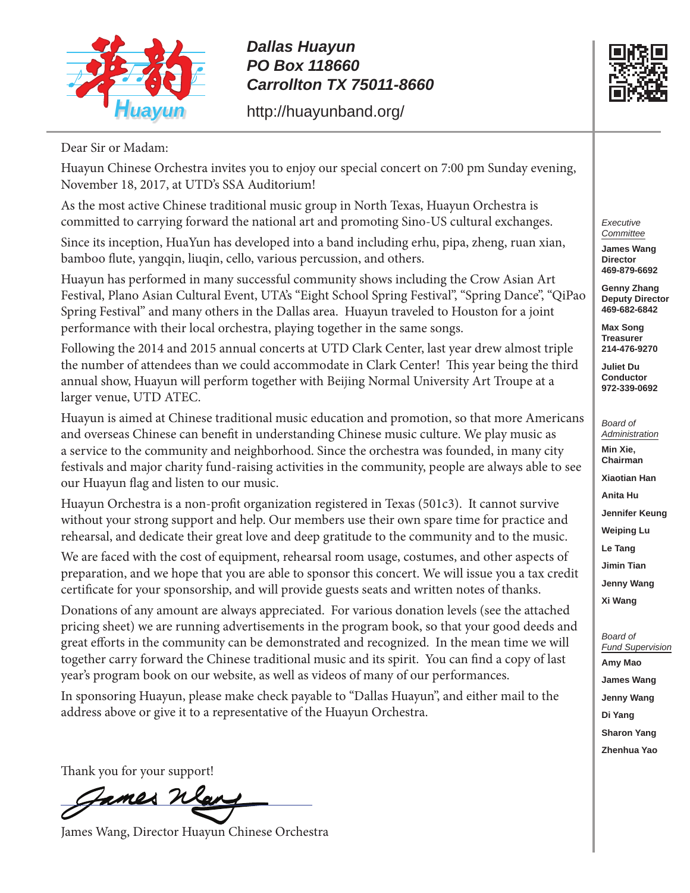

## *Dallas Huayun PO Box 118660 Carrollton TX 75011-8660*

http://huayunband.org/



Dear Sir or Madam:

Huayun Chinese Orchestra invites you to enjoy our special concert on 7:00 pm Sunday evening, November 18, 2017, at UTD's SSA Auditorium!

As the most active Chinese traditional music group in North Texas, Huayun Orchestra is committed to carrying forward the national art and promoting Sino-US cultural exchanges.

Since its inception, HuaYun has developed into a band including erhu, pipa, zheng, ruan xian, bamboo flute, yangqin, liuqin, cello, various percussion, and others.

Huayun has performed in many successful community shows including the Crow Asian Art Festival, Plano Asian Cultural Event, UTA's "Eight School Spring Festival", "Spring Dance", "QiPao Spring Festival" and many others in the Dallas area. Huayun traveled to Houston for a joint performance with their local orchestra, playing together in the same songs.

Following the 2014 and 2015 annual concerts at UTD Clark Center, last year drew almost triple the number of attendees than we could accommodate in Clark Center! This year being the third annual show, Huayun will perform together with Beijing Normal University Art Troupe at a larger venue, UTD ATEC.

Huayun is aimed at Chinese traditional music education and promotion, so that more Americans and overseas Chinese can benefit in understanding Chinese music culture. We play music as a service to the community and neighborhood. Since the orchestra was founded, in many city festivals and major charity fund-raising activities in the community, people are always able to see our Huayun flag and listen to our music.

Huayun Orchestra is a non-profit organization registered in Texas (501c3). It cannot survive without your strong support and help. Our members use their own spare time for practice and rehearsal, and dedicate their great love and deep gratitude to the community and to the music.

We are faced with the cost of equipment, rehearsal room usage, costumes, and other aspects of preparation, and we hope that you are able to sponsor this concert. We will issue you a tax credit certificate for your sponsorship, and will provide guests seats and written notes of thanks.

Donations of any amount are always appreciated. For various donation levels (see the attached pricing sheet) we are running advertisements in the program book, so that your good deeds and great efforts in the community can be demonstrated and recognized. In the mean time we will together carry forward the Chinese traditional music and its spirit. You can find a copy of last year's program book on our website, as well as videos of many of our performances.

In sponsoring Huayun, please make check payable to "Dallas Huayun", and either mail to the address above or give it to a representative of the Huayun Orchestra.

Thank you for your support!

Fames

James Wang, Director Huayun Chinese Orchestra

*Executive Committee*

**James Wang Director 469-879-6692**

**Genny Zhang Deputy Director 469-682-6842**

**Max Song Treasurer 214-476-9270**

**Juliet Du Conductor 972-339-0692**

*Board of Administration* **Min Xie, Chairman Xiaotian Han Anita Hu Jennifer Keung Weiping Lu Le Tang Jimin Tian Jenny Wang Xi Wang**

*Board of Fund Supervision* **Amy Mao James Wang Jenny Wang Di Yang Sharon Yang Zhenhua Yao**